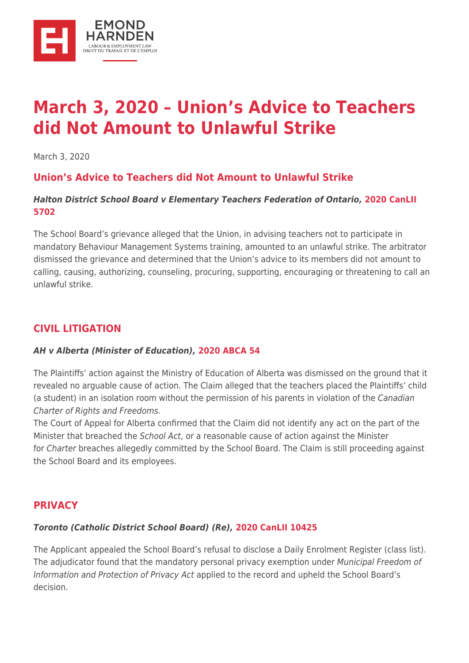

# **[March 3, 2020 – Union's Advice to Teachers](https://ehlaw.ca/march-3-2020-unions-advice-to-teachers-did-not-amount-to-unlawful-strike/) [did Not Amount to Unlawful Strike](https://ehlaw.ca/march-3-2020-unions-advice-to-teachers-did-not-amount-to-unlawful-strike/)**

March 3, 2020

# **Union's Advice to Teachers did Not Amount to Unlawful Strike**

#### *Halton District School Board v Elementary Teachers Federation of Ontario,* **[2020 CanLII](http://canlii.ca/t/j4xls) [5702](http://canlii.ca/t/j4xls)**

The School Board's grievance alleged that the Union, in advising teachers not to participate in mandatory Behaviour Management Systems training, amounted to an unlawful strike. The arbitrator dismissed the grievance and determined that the Union's advice to its members did not amount to calling, causing, authorizing, counseling, procuring, supporting, encouraging or threatening to call an unlawful strike.

## **CIVIL LITIGATION**

#### *AH v Alberta (Minister of Education),* **[2020 ABCA 54](http://canlii.ca/t/j52tv)**

The Plaintiffs' action against the Ministry of Education of Alberta was dismissed on the ground that it revealed no arguable cause of action. The Claim alleged that the teachers placed the Plaintiffs' child (a student) in an isolation room without the permission of his parents in violation of the Canadian Charter of Rights and Freedoms.

The Court of Appeal for Alberta confirmed that the Claim did not identify any act on the part of the Minister that breached the School Act, or a reasonable cause of action against the Minister for Charter breaches allegedly committed by the School Board. The Claim is still proceeding against the School Board and its employees.

### **PRIVACY**

#### *Toronto (Catholic District School Board) (Re),* **[2020 CanLII 10425](http://canlii.ca/t/j56qq)**

The Applicant appealed the School Board's refusal to disclose a Daily Enrolment Register (class list). The adjudicator found that the mandatory personal privacy exemption under Municipal Freedom of Information and Protection of Privacy Act applied to the record and upheld the School Board's decision.